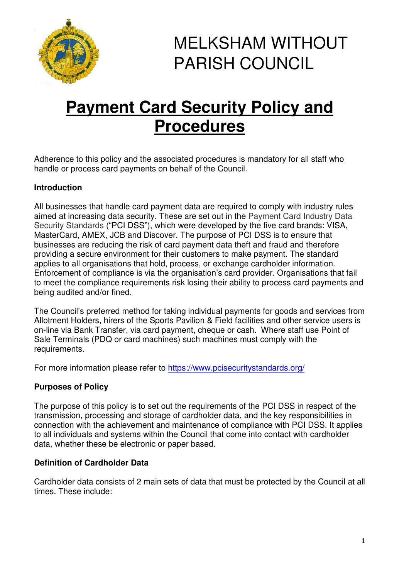

# MELKSHAM WITHOUT PARISH COUNCIL

## **Payment Card Security Policy and Procedures**

Adherence to this policy and the associated procedures is mandatory for all staff who handle or process card payments on behalf of the Council.

## **Introduction**

All businesses that handle card payment data are required to comply with industry rules aimed at increasing data security. These are set out in the Payment Card Industry Data Security Standards ("PCI DSS"), which were developed by the five card brands: VISA, MasterCard, AMEX, JCB and Discover. The purpose of PCI DSS is to ensure that businesses are reducing the risk of card payment data theft and fraud and therefore providing a secure environment for their customers to make payment. The standard applies to all organisations that hold, process, or exchange cardholder information. Enforcement of compliance is via the organisation's card provider. Organisations that fail to meet the compliance requirements risk losing their ability to process card payments and being audited and/or fined.

The Council's preferred method for taking individual payments for goods and services from Allotment Holders, hirers of the Sports Pavilion & Field facilities and other service users is on-line via Bank Transfer, via card payment, cheque or cash. Where staff use Point of Sale Terminals (PDQ or card machines) such machines must comply with the requirements.

For more information please refer to https://www.pcisecuritystandards.org/

## **Purposes of Policy**

The purpose of this policy is to set out the requirements of the PCI DSS in respect of the transmission, processing and storage of cardholder data, and the key responsibilities in connection with the achievement and maintenance of compliance with PCI DSS. It applies to all individuals and systems within the Council that come into contact with cardholder data, whether these be electronic or paper based.

## **Definition of Cardholder Data**

Cardholder data consists of 2 main sets of data that must be protected by the Council at all times. These include: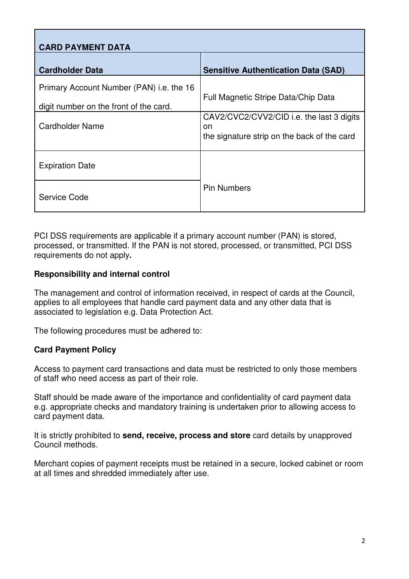| <b>CARD PAYMENT DATA</b>                                                           |                                                                                                 |
|------------------------------------------------------------------------------------|-------------------------------------------------------------------------------------------------|
| <b>Cardholder Data</b>                                                             | <b>Sensitive Authentication Data (SAD)</b>                                                      |
| Primary Account Number (PAN) i.e. the 16<br>digit number on the front of the card. | Full Magnetic Stripe Data/Chip Data                                                             |
| <b>Cardholder Name</b>                                                             | CAV2/CVC2/CVV2/CID i.e. the last 3 digits<br>on.<br>the signature strip on the back of the card |
| <b>Expiration Date</b>                                                             |                                                                                                 |
| Service Code                                                                       | <b>Pin Numbers</b>                                                                              |

PCI DSS requirements are applicable if a primary account number (PAN) is stored, processed, or transmitted. If the PAN is not stored, processed, or transmitted, PCI DSS requirements do not apply**.** 

## **Responsibility and internal control**

The management and control of information received, in respect of cards at the Council, applies to all employees that handle card payment data and any other data that is associated to legislation e.g. Data Protection Act.

The following procedures must be adhered to:

## **Card Payment Policy**

Access to payment card transactions and data must be restricted to only those members of staff who need access as part of their role.

Staff should be made aware of the importance and confidentiality of card payment data e.g. appropriate checks and mandatory training is undertaken prior to allowing access to card payment data.

It is strictly prohibited to **send, receive, process and store** card details by unapproved Council methods.

Merchant copies of payment receipts must be retained in a secure, locked cabinet or room at all times and shredded immediately after use.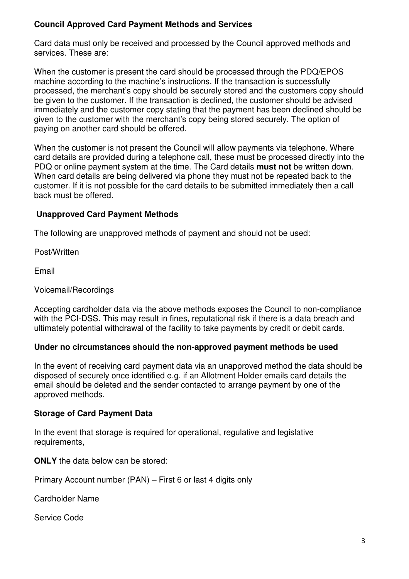## **Council Approved Card Payment Methods and Services**

Card data must only be received and processed by the Council approved methods and services. These are:

When the customer is present the card should be processed through the PDQ/EPOS machine according to the machine's instructions. If the transaction is successfully processed, the merchant's copy should be securely stored and the customers copy should be given to the customer. If the transaction is declined, the customer should be advised immediately and the customer copy stating that the payment has been declined should be given to the customer with the merchant's copy being stored securely. The option of paying on another card should be offered.

When the customer is not present the Council will allow payments via telephone. Where card details are provided during a telephone call, these must be processed directly into the PDQ or online payment system at the time. The Card details **must not** be written down. When card details are being delivered via phone they must not be repeated back to the customer. If it is not possible for the card details to be submitted immediately then a call back must be offered.

## **Unapproved Card Payment Methods**

The following are unapproved methods of payment and should not be used:

Post/Written

Email

## Voicemail/Recordings

Accepting cardholder data via the above methods exposes the Council to non-compliance with the PCI-DSS. This may result in fines, reputational risk if there is a data breach and ultimately potential withdrawal of the facility to take payments by credit or debit cards.

## **Under no circumstances should the non-approved payment methods be used**

In the event of receiving card payment data via an unapproved method the data should be disposed of securely once identified e.g. if an Allotment Holder emails card details the email should be deleted and the sender contacted to arrange payment by one of the approved methods.

## **Storage of Card Payment Data**

In the event that storage is required for operational, regulative and legislative requirements,

**ONLY** the data below can be stored:

Primary Account number (PAN) – First 6 or last 4 digits only

Cardholder Name

Service Code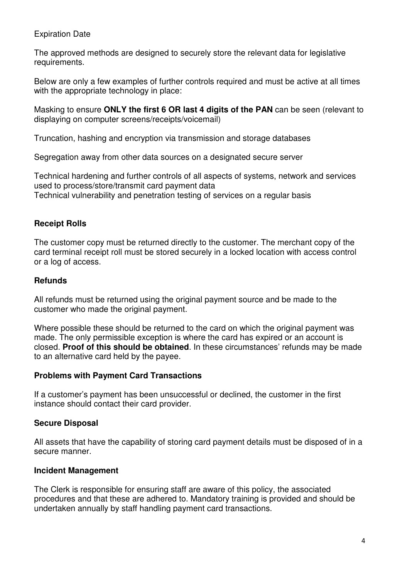#### Expiration Date

The approved methods are designed to securely store the relevant data for legislative requirements.

Below are only a few examples of further controls required and must be active at all times with the appropriate technology in place:

Masking to ensure **ONLY the first 6 OR last 4 digits of the PAN** can be seen (relevant to displaying on computer screens/receipts/voicemail)

Truncation, hashing and encryption via transmission and storage databases

Segregation away from other data sources on a designated secure server

Technical hardening and further controls of all aspects of systems, network and services used to process/store/transmit card payment data Technical vulnerability and penetration testing of services on a regular basis

## **Receipt Rolls**

The customer copy must be returned directly to the customer. The merchant copy of the card terminal receipt roll must be stored securely in a locked location with access control or a log of access.

## **Refunds**

All refunds must be returned using the original payment source and be made to the customer who made the original payment.

Where possible these should be returned to the card on which the original payment was made. The only permissible exception is where the card has expired or an account is closed. **Proof of this should be obtained**. In these circumstances' refunds may be made to an alternative card held by the payee.

## **Problems with Payment Card Transactions**

If a customer's payment has been unsuccessful or declined, the customer in the first instance should contact their card provider.

## **Secure Disposal**

All assets that have the capability of storing card payment details must be disposed of in a secure manner.

## **Incident Management**

The Clerk is responsible for ensuring staff are aware of this policy, the associated procedures and that these are adhered to. Mandatory training is provided and should be undertaken annually by staff handling payment card transactions.